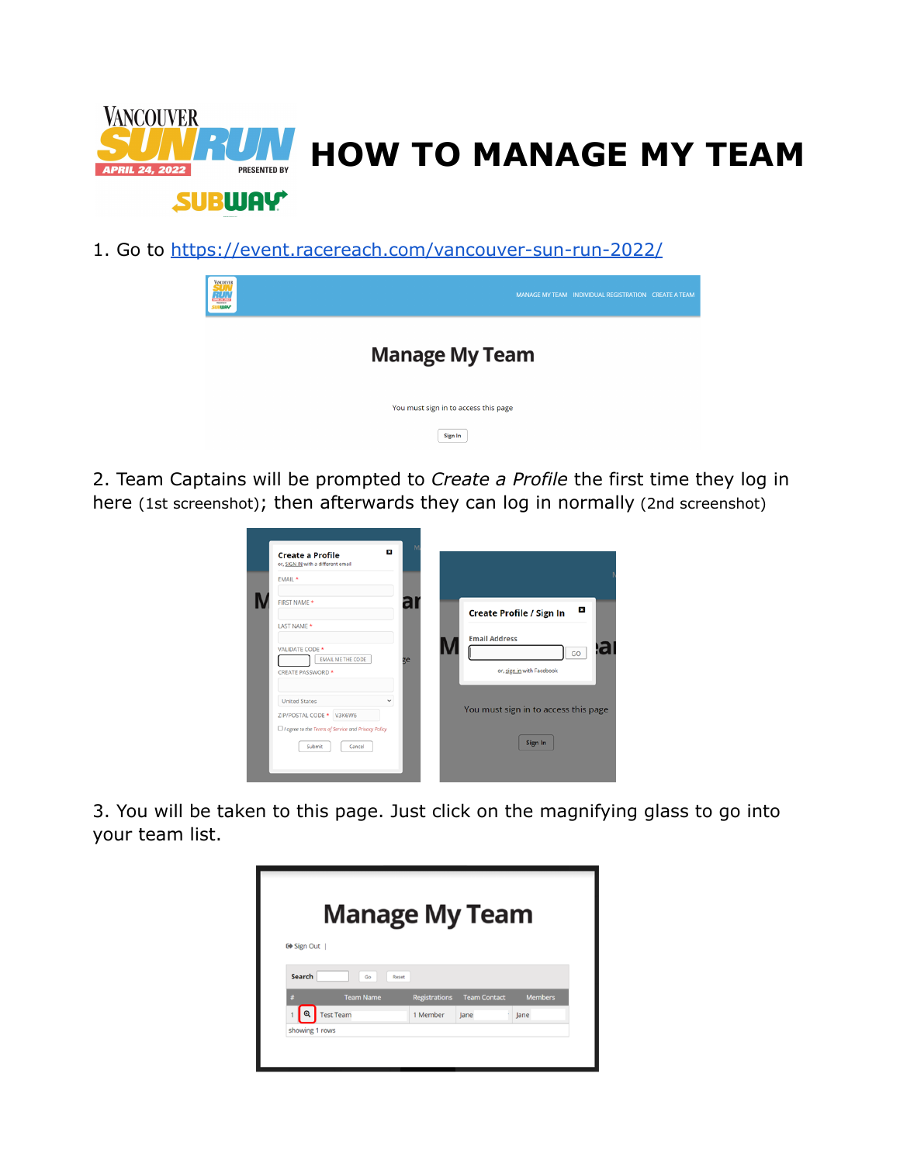

1. Go to <https://event.racereach.com/vancouver-sun-run-2022/>

| <b>VACOUVER</b><br><b>RUN</b> | MANAGE MY TEAM INDIVIDUAL REGISTRATION CREATE A TEAM |
|-------------------------------|------------------------------------------------------|
|                               | <b>Manage My Team</b>                                |
|                               | You must sign in to access this page                 |
|                               | Sign In                                              |

2. Team Captains will be prompted to *Create a Profile* the first time they log in here (1st screenshot); then afterwards they can log in normally (2nd screenshot)



3. You will be taken to this page. Just click on the magnifying glass to go into your team list.

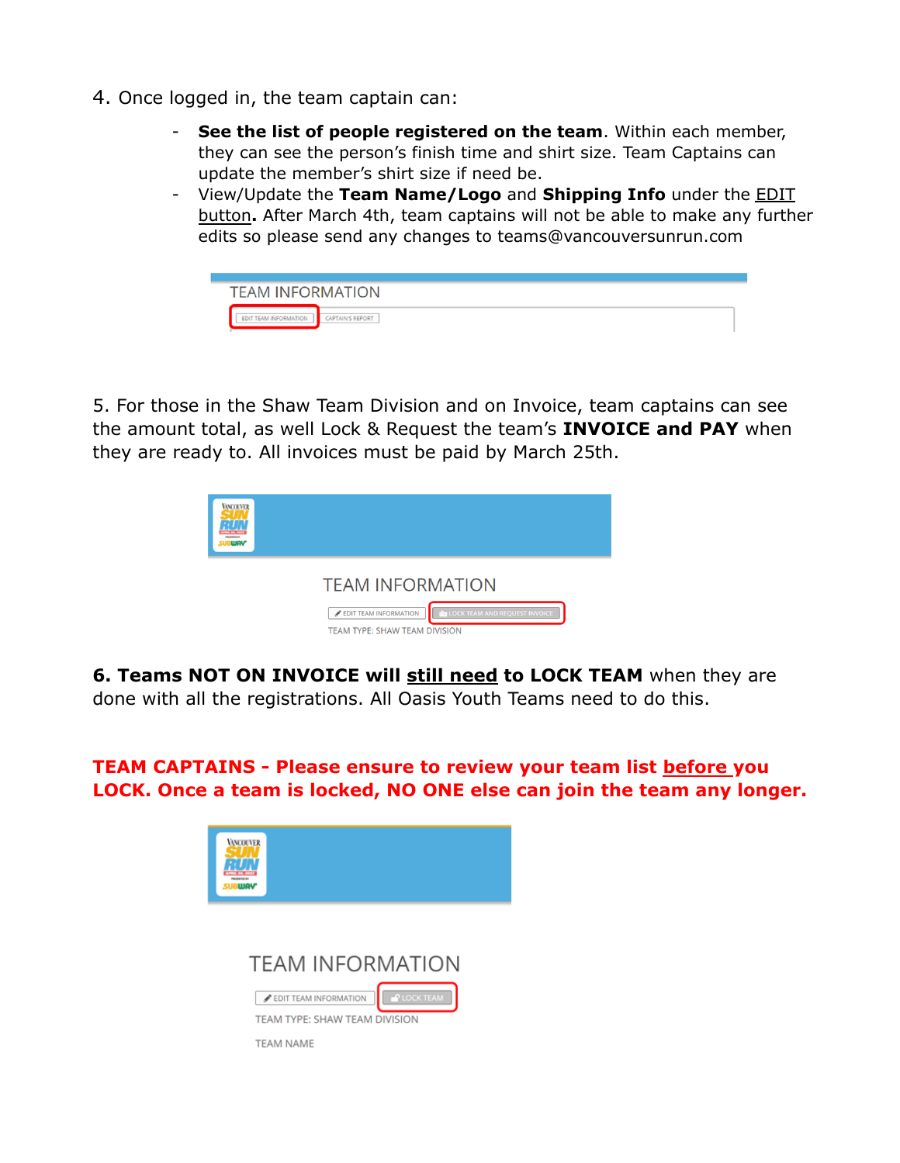- 4. Once logged in, the team captain can:
	- **See the list of people registered on the team**. Within each member, they can see the person's finish time and shirt size. Team Captains can update the member's shirt size if need be.
	- View/Update the **Team Name/Logo** and **Shipping Info** under the EDIT button**.** After March 4th, team captains will not be able to make any further edits so please send any changes to teams@vancouversunrun.com



5. For those in the Shaw Team Division and on Invoice, team captains can see the amount total, as well Lock & Request the team's **INVOICE and PAY** when they are ready to. All invoices must be paid by March 25th.



**6. Teams NOT ON INVOICE will still need to LOCK TEAM** when they are done with all the registrations. All Oasis Youth Teams need to do this.

**TEAM CAPTAINS - Please ensure to review your team list before you LOCK. Once a team is locked, NO ONE else can join the team any longer.**